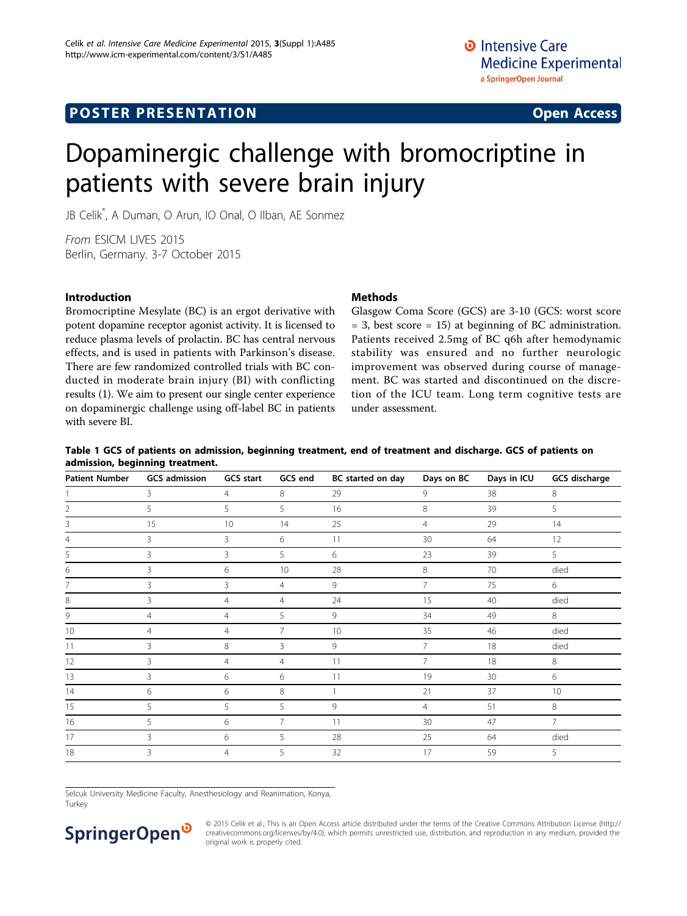### **POSTER PRESENTATION CONSUMING ACCESS**

# Dopaminergic challenge with bromocriptine in patients with severe brain injury

JB Celik\* , A Duman, O Arun, IO Onal, O Ilban, AE Sonmez

From ESICM LIVES 2015 Berlin, Germany. 3-7 October 2015

### Introduction

Bromocriptine Mesylate (BC) is an ergot derivative with potent dopamine receptor agonist activity. It is licensed to reduce plasma levels of prolactin. BC has central nervous effects, and is used in patients with Parkinson's disease. There are few randomized controlled trials with BC conducted in moderate brain injury (BI) with conflicting results (1). We aim to present our single center experience on dopaminergic challenge using off-label BC in patients with severe BI.

### **Methods**

Glasgow Coma Score (GCS) are 3-10 (GCS: worst score  $= 3$ , best score  $= 15$ ) at beginning of BC administration. Patients received 2.5mg of BC q6h after hemodynamic stability was ensured and no further neurologic improvement was observed during course of management. BC was started and discontinued on the discretion of the ICU team. Long term cognitive tests are under assessment.

### Table 1 GCS of patients on admission, beginning treatment, end of treatment and discharge. GCS of patients on admission, beginning treatment.

| <b>Patient Number</b> | <b>GCS</b> admission | <b>GCS start</b> | GCS end        | BC started on day | Days on BC     | Days in ICU | GCS discharge  |
|-----------------------|----------------------|------------------|----------------|-------------------|----------------|-------------|----------------|
|                       | 3                    | $\overline{4}$   | 8              | 29                | 9              | 38          | 8              |
| 2                     | 5                    | 5                | 5              | 16                | 8              | 39          | 5              |
| 3                     | 15                   | 10               | 14             | 25                | $\overline{4}$ | 29          | 14             |
| 4                     | 3                    | 3                | 6              | 11                | 30             | 64          | 12             |
| 5                     | 3                    | 3                | 5              | 6                 | 23             | 39          | 5              |
| 6                     | 3                    | 6                | 10             | 28                | 8              | 70          | died           |
|                       | 3                    | 3                | $\overline{4}$ | 9                 | $\overline{7}$ | 75          | 6              |
| 8                     | 3                    | $\overline{4}$   | $\overline{4}$ | 24                | 15             | 40          | died           |
| 9                     | $\overline{4}$       | $\overline{4}$   | 5              | 9                 | 34             | 49          | 8              |
| 10                    | $\overline{4}$       | $\overline{4}$   | $\overline{7}$ | 10                | 35             | 46          | died           |
| 11                    | 3                    | 8                | 3              | 9                 | $\overline{7}$ | 18          | died           |
| 12                    | 3                    | $\overline{4}$   | $\overline{4}$ | 11                | $\overline{7}$ | 18          | 8              |
| 13                    | 3                    | 6                | 6              | 11                | 19             | 30          | 6              |
| 14                    | 6                    | 6                | 8              |                   | 21             | 37          | 10             |
| 15                    | 5                    | 5                | 5              | 9                 | $\overline{4}$ | 51          | 8              |
| 16                    | 5                    | 6                | 7              | 11                | 30             | 47          | $\overline{7}$ |
| 17                    | 3                    | 6                | 5              | 28                | 25             | 64          | died           |
| 18                    | 3                    | $\overline{4}$   | 5              | 32                | 17             | 59          | 5              |

Selcuk University Medicine Faculty, Anesthesiology and Reanimation, Konya, Turkey

## SpringerOpen<sup>®</sup>

© 2015 Celik et al.; This is an Open Access article distributed under the terms of the Creative Commons Attribution License [\(http://](http://creativecommons.org/licenses/by/4.0) [creativecommons.org/licenses/by/4.0](http://creativecommons.org/licenses/by/4.0)), which permits unrestricted use, distribution, and reproduction in any medium, provided the original work is properly cited.